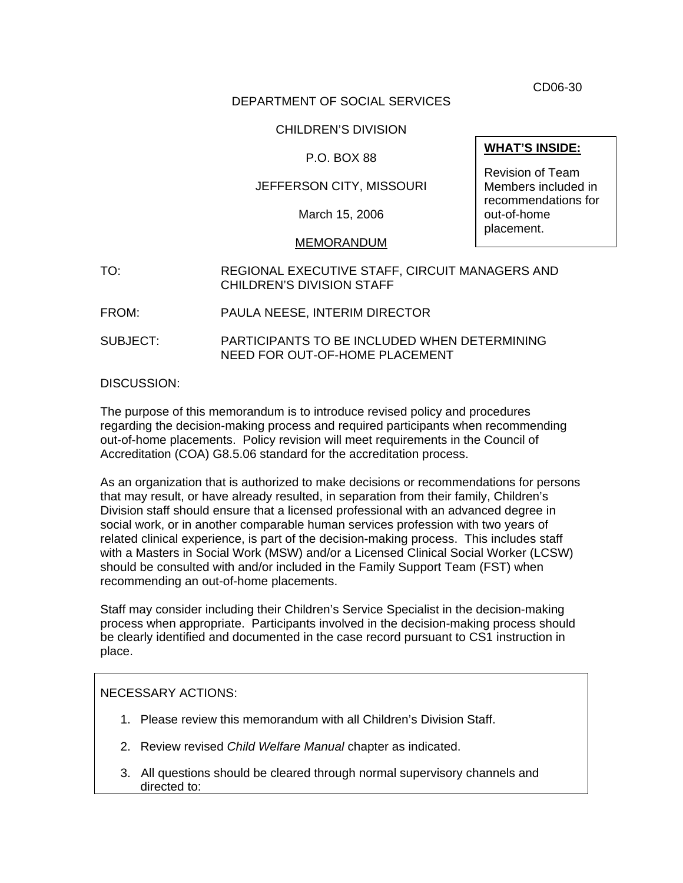CD06-30

### DEPARTMENT OF SOCIAL SERVICES

# CHILDREN'S DIVISION

# P.O. BOX 88

# JEFFERSON CITY, MISSOURI

March 15, 2006

#### MEMORANDUM

# TO: REGIONAL EXECUTIVE STAFF, CIRCUIT MANAGERS AND CHILDREN'S DIVISION STAFF

FROM: PAULA NEESE, INTERIM DIRECTOR

SUBJECT: PARTICIPANTS TO BE INCLUDED WHEN DETERMINING NEED FOR OUT-OF-HOME PLACEMENT

#### DISCUSSION:

The purpose of this memorandum is to introduce revised policy and procedures regarding the decision-making process and required participants when recommending out-of-home placements. Policy revision will meet requirements in the Council of Accreditation (COA) G8.5.06 standard for the accreditation process.

As an organization that is authorized to make decisions or recommendations for persons that may result, or have already resulted, in separation from their family, Children's Division staff should ensure that a licensed professional with an advanced degree in social work, or in another comparable human services profession with two years of related clinical experience, is part of the decision-making process. This includes staff with a Masters in Social Work (MSW) and/or a Licensed Clinical Social Worker (LCSW) should be consulted with and/or included in the Family Support Team (FST) when recommending an out-of-home placements.

Staff may consider including their Children's Service Specialist in the decision-making process when appropriate. Participants involved in the decision-making process should be clearly identified and documented in the case record pursuant to CS1 instruction in place.

### NECESSARY ACTIONS:

- 1. Please review this memorandum with all Children's Division Staff.
- 2. Review revised *Child Welfare Manual* chapter as indicated.
- 3. All questions should be cleared through normal supervisory channels and directed to:

### **WHAT'S INSIDE:**

Revision of Team Members included in recommendations for out-of-home placement.